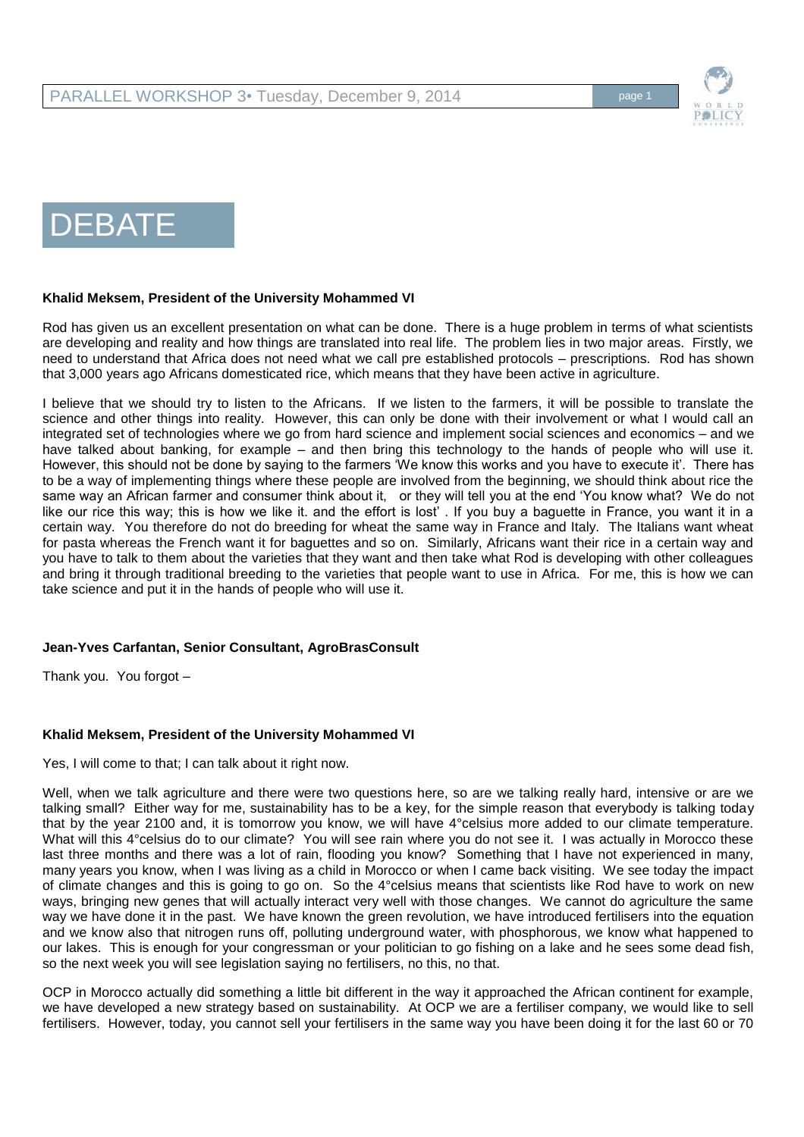

# DEBATE<sub>I</sub>

#### **Khalid Meksem, President of the University Mohammed VI**

Rod has given us an excellent presentation on what can be done. There is a huge problem in terms of what scientists are developing and reality and how things are translated into real life. The problem lies in two major areas. Firstly, we need to understand that Africa does not need what we call pre established protocols – prescriptions. Rod has shown that 3,000 years ago Africans domesticated rice, which means that they have been active in agriculture.

I believe that we should try to listen to the Africans. If we listen to the farmers, it will be possible to translate the science and other things into reality. However, this can only be done with their involvement or what I would call an integrated set of technologies where we go from hard science and implement social sciences and economics – and we have talked about banking, for example – and then bring this technology to the hands of people who will use it. However, this should not be done by saying to the farmers 'We know this works and you have to execute it'. There has to be a way of implementing things where these people are involved from the beginning, we should think about rice the same way an African farmer and consumer think about it, or they will tell you at the end 'You know what? We do not like our rice this way; this is how we like it. and the effort is lost' . If you buy a baguette in France, you want it in a certain way. You therefore do not do breeding for wheat the same way in France and Italy. The Italians want wheat for pasta whereas the French want it for baguettes and so on. Similarly, Africans want their rice in a certain way and you have to talk to them about the varieties that they want and then take what Rod is developing with other colleagues and bring it through traditional breeding to the varieties that people want to use in Africa. For me, this is how we can take science and put it in the hands of people who will use it.

## **Jean-Yves Carfantan, Senior Consultant, AgroBrasConsult**

Thank you. You forgot –

#### **Khalid Meksem, President of the University Mohammed VI**

Yes, I will come to that; I can talk about it right now.

Well, when we talk agriculture and there were two questions here, so are we talking really hard, intensive or are we talking small? Either way for me, sustainability has to be a key, for the simple reason that everybody is talking today that by the year 2100 and, it is tomorrow you know, we will have 4°celsius more added to our climate temperature. What will this 4°celsius do to our climate? You will see rain where you do not see it. I was actually in Morocco these last three months and there was a lot of rain, flooding you know? Something that I have not experienced in many, many years you know, when I was living as a child in Morocco or when I came back visiting. We see today the impact of climate changes and this is going to go on. So the 4°celsius means that scientists like Rod have to work on new ways, bringing new genes that will actually interact very well with those changes. We cannot do agriculture the same way we have done it in the past. We have known the green revolution, we have introduced fertilisers into the equation and we know also that nitrogen runs off, polluting underground water, with phosphorous, we know what happened to our lakes. This is enough for your congressman or your politician to go fishing on a lake and he sees some dead fish, so the next week you will see legislation saying no fertilisers, no this, no that.

OCP in Morocco actually did something a little bit different in the way it approached the African continent for example, we have developed a new strategy based on sustainability. At OCP we are a fertiliser company, we would like to sell fertilisers. However, today, you cannot sell your fertilisers in the same way you have been doing it for the last 60 or 70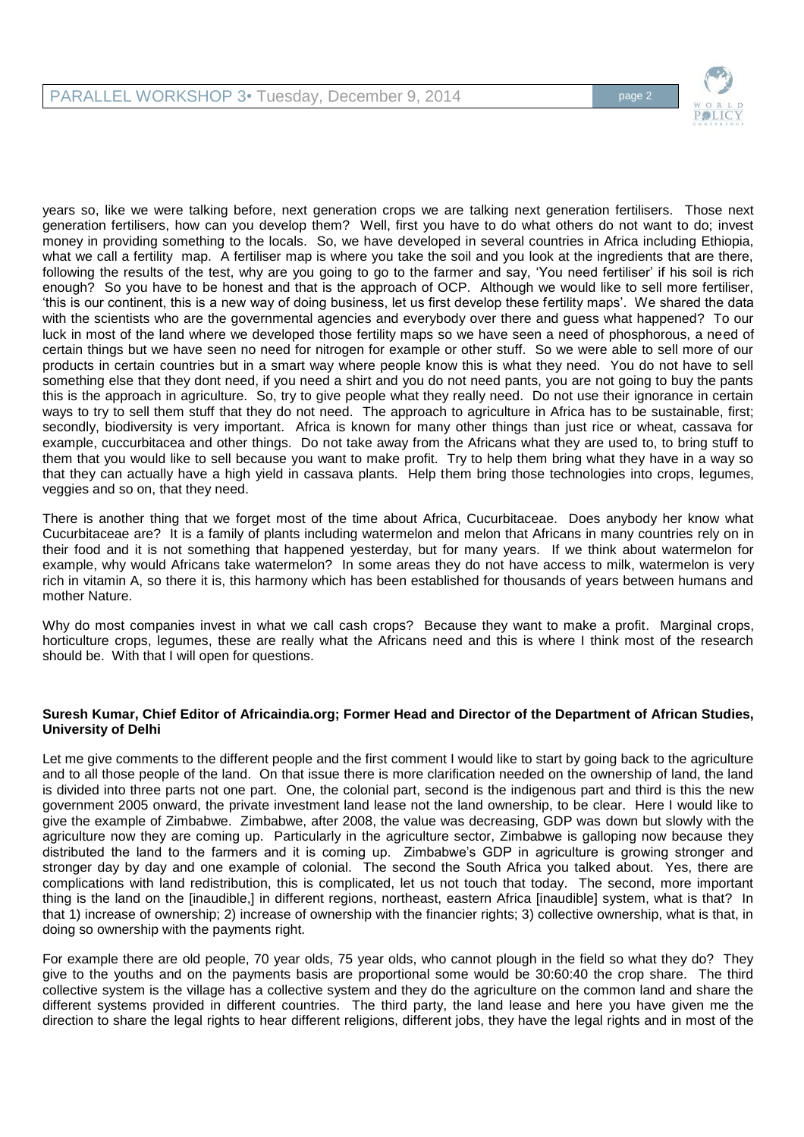

years so, like we were talking before, next generation crops we are talking next generation fertilisers. Those next generation fertilisers, how can you develop them? Well, first you have to do what others do not want to do; invest money in providing something to the locals. So, we have developed in several countries in Africa including Ethiopia, what we call a fertility map. A fertiliser map is where you take the soil and you look at the ingredients that are there, following the results of the test, why are you going to go to the farmer and say, 'You need fertiliser' if his soil is rich enough? So you have to be honest and that is the approach of OCP. Although we would like to sell more fertiliser, 'this is our continent, this is a new way of doing business, let us first develop these fertility maps'. We shared the data with the scientists who are the governmental agencies and everybody over there and guess what happened? To our luck in most of the land where we developed those fertility maps so we have seen a need of phosphorous, a need of certain things but we have seen no need for nitrogen for example or other stuff. So we were able to sell more of our products in certain countries but in a smart way where people know this is what they need. You do not have to sell something else that they dont need, if you need a shirt and you do not need pants, you are not going to buy the pants this is the approach in agriculture. So, try to give people what they really need. Do not use their ignorance in certain ways to try to sell them stuff that they do not need. The approach to agriculture in Africa has to be sustainable, first; secondly, biodiversity is very important. Africa is known for many other things than just rice or wheat, cassava for example, cuccurbitacea and other things. Do not take away from the Africans what they are used to, to bring stuff to them that you would like to sell because you want to make profit. Try to help them bring what they have in a way so that they can actually have a high yield in cassava plants. Help them bring those technologies into crops, legumes, veggies and so on, that they need.

There is another thing that we forget most of the time about Africa, Cucurbitaceae. Does anybody her know what Cucurbitaceae are? It is a family of plants including watermelon and melon that Africans in many countries rely on in their food and it is not something that happened yesterday, but for many years. If we think about watermelon for example, why would Africans take watermelon? In some areas they do not have access to milk, watermelon is very rich in vitamin A, so there it is, this harmony which has been established for thousands of years between humans and mother Nature.

Why do most companies invest in what we call cash crops? Because they want to make a profit. Marginal crops, horticulture crops, legumes, these are really what the Africans need and this is where I think most of the research should be. With that I will open for questions.

#### **Suresh Kumar, Chief Editor of Africaindia.org; Former Head and Director of the Department of African Studies, University of Delhi**

Let me give comments to the different people and the first comment I would like to start by going back to the agriculture and to all those people of the land. On that issue there is more clarification needed on the ownership of land, the land is divided into three parts not one part. One, the colonial part, second is the indigenous part and third is this the new government 2005 onward, the private investment land lease not the land ownership, to be clear. Here I would like to give the example of Zimbabwe. Zimbabwe, after 2008, the value was decreasing, GDP was down but slowly with the agriculture now they are coming up. Particularly in the agriculture sector, Zimbabwe is galloping now because they distributed the land to the farmers and it is coming up. Zimbabwe's GDP in agriculture is growing stronger and stronger day by day and one example of colonial. The second the South Africa you talked about. Yes, there are complications with land redistribution, this is complicated, let us not touch that today. The second, more important thing is the land on the [inaudible,] in different regions, northeast, eastern Africa [inaudible] system, what is that? In that 1) increase of ownership; 2) increase of ownership with the financier rights; 3) collective ownership, what is that, in doing so ownership with the payments right.

For example there are old people, 70 year olds, 75 year olds, who cannot plough in the field so what they do? They give to the youths and on the payments basis are proportional some would be 30:60:40 the crop share. The third collective system is the village has a collective system and they do the agriculture on the common land and share the different systems provided in different countries. The third party, the land lease and here you have given me the direction to share the legal rights to hear different religions, different jobs, they have the legal rights and in most of the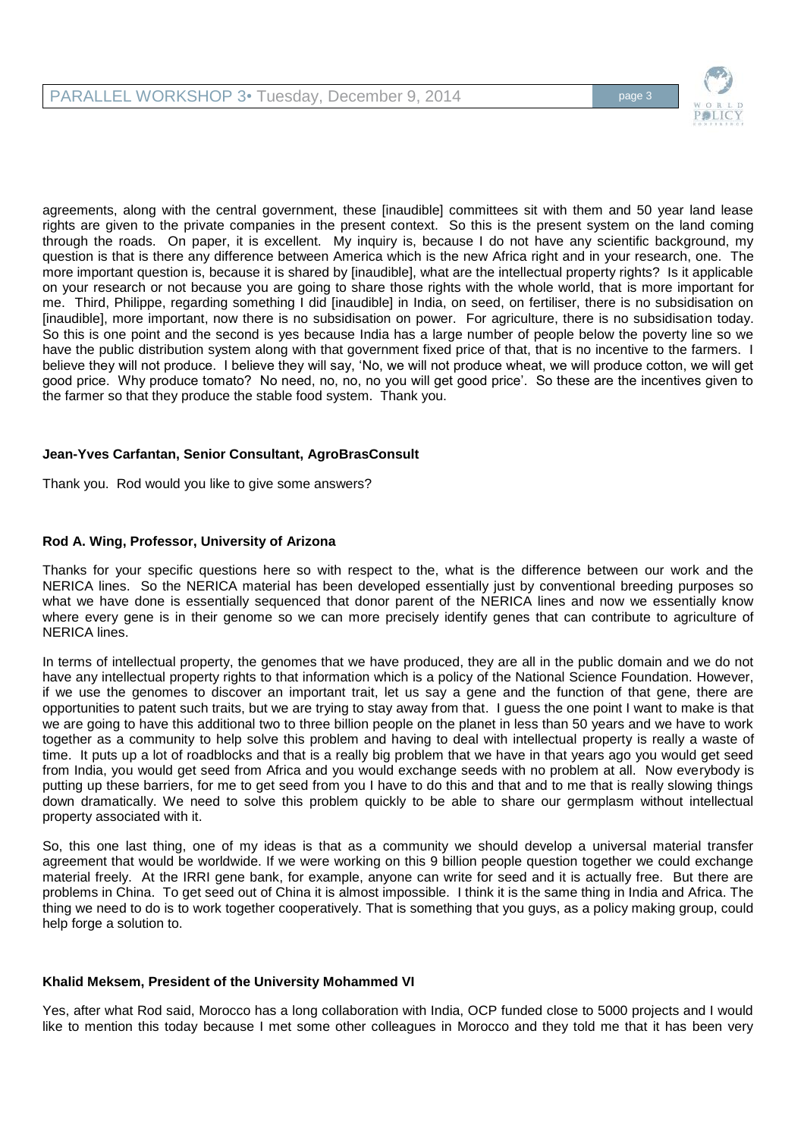

agreements, along with the central government, these [inaudible] committees sit with them and 50 year land lease rights are given to the private companies in the present context. So this is the present system on the land coming through the roads. On paper, it is excellent. My inquiry is, because I do not have any scientific background, my question is that is there any difference between America which is the new Africa right and in your research, one. The more important question is, because it is shared by [inaudible], what are the intellectual property rights? Is it applicable on your research or not because you are going to share those rights with the whole world, that is more important for me. Third, Philippe, regarding something I did [inaudible] in India, on seed, on fertiliser, there is no subsidisation on [inaudible], more important, now there is no subsidisation on power. For agriculture, there is no subsidisation today. So this is one point and the second is yes because India has a large number of people below the poverty line so we have the public distribution system along with that government fixed price of that, that is no incentive to the farmers. I believe they will not produce. I believe they will say, 'No, we will not produce wheat, we will produce cotton, we will get good price. Why produce tomato? No need, no, no, no you will get good price'. So these are the incentives given to the farmer so that they produce the stable food system. Thank you.

# **Jean-Yves Carfantan, Senior Consultant, AgroBrasConsult**

Thank you. Rod would you like to give some answers?

## **Rod A. Wing, Professor, University of Arizona**

Thanks for your specific questions here so with respect to the, what is the difference between our work and the NERICA lines. So the NERICA material has been developed essentially just by conventional breeding purposes so what we have done is essentially sequenced that donor parent of the NERICA lines and now we essentially know where every gene is in their genome so we can more precisely identify genes that can contribute to agriculture of NERICA lines.

In terms of intellectual property, the genomes that we have produced, they are all in the public domain and we do not have any intellectual property rights to that information which is a policy of the National Science Foundation. However, if we use the genomes to discover an important trait, let us say a gene and the function of that gene, there are opportunities to patent such traits, but we are trying to stay away from that. I guess the one point I want to make is that we are going to have this additional two to three billion people on the planet in less than 50 years and we have to work together as a community to help solve this problem and having to deal with intellectual property is really a waste of time. It puts up a lot of roadblocks and that is a really big problem that we have in that years ago you would get seed from India, you would get seed from Africa and you would exchange seeds with no problem at all. Now everybody is putting up these barriers, for me to get seed from you I have to do this and that and to me that is really slowing things down dramatically. We need to solve this problem quickly to be able to share our germplasm without intellectual property associated with it.

So, this one last thing, one of my ideas is that as a community we should develop a universal material transfer agreement that would be worldwide. If we were working on this 9 billion people question together we could exchange material freely. At the IRRI gene bank, for example, anyone can write for seed and it is actually free. But there are problems in China. To get seed out of China it is almost impossible. I think it is the same thing in India and Africa. The thing we need to do is to work together cooperatively. That is something that you guys, as a policy making group, could help forge a solution to.

## **Khalid Meksem, President of the University Mohammed VI**

Yes, after what Rod said, Morocco has a long collaboration with India, OCP funded close to 5000 projects and I would like to mention this today because I met some other colleagues in Morocco and they told me that it has been very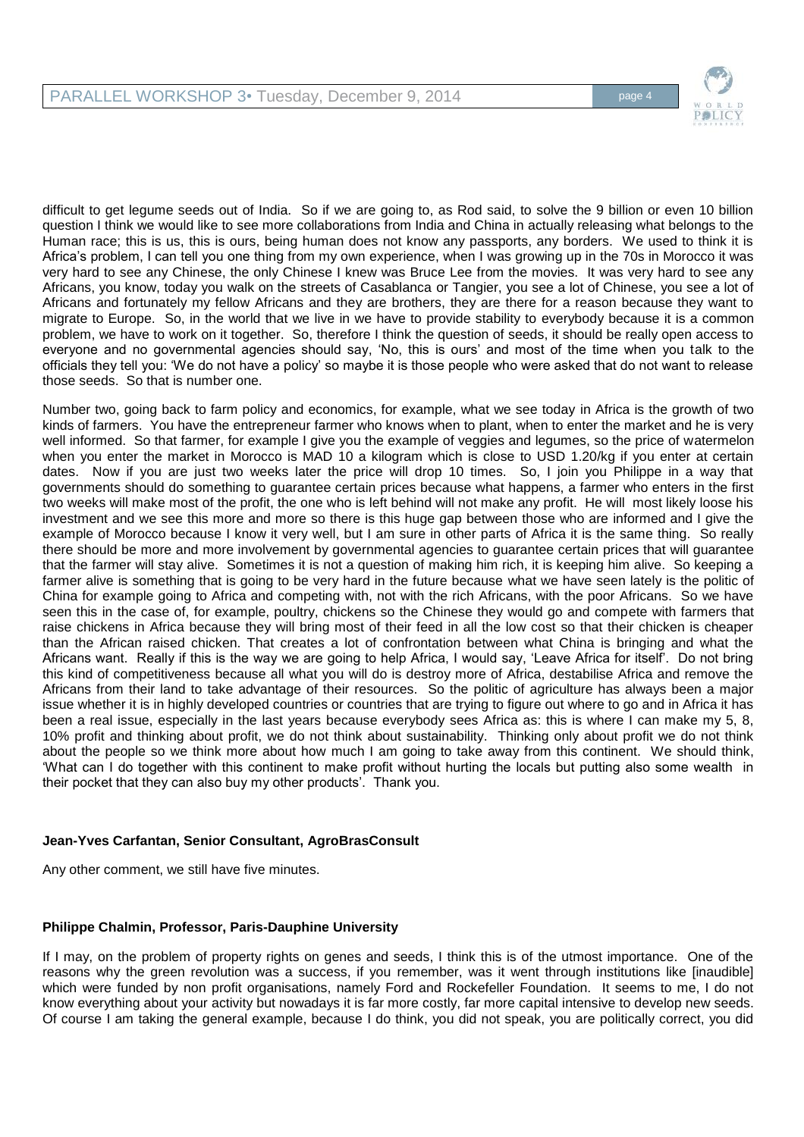

difficult to get legume seeds out of India. So if we are going to, as Rod said, to solve the 9 billion or even 10 billion question I think we would like to see more collaborations from India and China in actually releasing what belongs to the Human race; this is us, this is ours, being human does not know any passports, any borders. We used to think it is Africa's problem, I can tell you one thing from my own experience, when I was growing up in the 70s in Morocco it was very hard to see any Chinese, the only Chinese I knew was Bruce Lee from the movies. It was very hard to see any Africans, you know, today you walk on the streets of Casablanca or Tangier, you see a lot of Chinese, you see a lot of Africans and fortunately my fellow Africans and they are brothers, they are there for a reason because they want to migrate to Europe. So, in the world that we live in we have to provide stability to everybody because it is a common problem, we have to work on it together. So, therefore I think the question of seeds, it should be really open access to everyone and no governmental agencies should say, 'No, this is ours' and most of the time when you talk to the officials they tell you: 'We do not have a policy' so maybe it is those people who were asked that do not want to release those seeds. So that is number one.

Number two, going back to farm policy and economics, for example, what we see today in Africa is the growth of two kinds of farmers. You have the entrepreneur farmer who knows when to plant, when to enter the market and he is very well informed. So that farmer, for example I give you the example of veggies and legumes, so the price of watermelon when you enter the market in Morocco is MAD 10 a kilogram which is close to USD 1.20/kg if you enter at certain dates. Now if you are just two weeks later the price will drop 10 times. So, I join you Philippe in a way that governments should do something to guarantee certain prices because what happens, a farmer who enters in the first two weeks will make most of the profit, the one who is left behind will not make any profit. He will most likely loose his investment and we see this more and more so there is this huge gap between those who are informed and I give the example of Morocco because I know it very well, but I am sure in other parts of Africa it is the same thing. So really there should be more and more involvement by governmental agencies to guarantee certain prices that will guarantee that the farmer will stay alive. Sometimes it is not a question of making him rich, it is keeping him alive. So keeping a farmer alive is something that is going to be very hard in the future because what we have seen lately is the politic of China for example going to Africa and competing with, not with the rich Africans, with the poor Africans. So we have seen this in the case of, for example, poultry, chickens so the Chinese they would go and compete with farmers that raise chickens in Africa because they will bring most of their feed in all the low cost so that their chicken is cheaper than the African raised chicken. That creates a lot of confrontation between what China is bringing and what the Africans want. Really if this is the way we are going to help Africa, I would say, 'Leave Africa for itself'. Do not bring this kind of competitiveness because all what you will do is destroy more of Africa, destabilise Africa and remove the Africans from their land to take advantage of their resources. So the politic of agriculture has always been a major issue whether it is in highly developed countries or countries that are trying to figure out where to go and in Africa it has been a real issue, especially in the last years because everybody sees Africa as: this is where I can make my 5, 8, 10% profit and thinking about profit, we do not think about sustainability. Thinking only about profit we do not think about the people so we think more about how much I am going to take away from this continent. We should think, 'What can I do together with this continent to make profit without hurting the locals but putting also some wealth in their pocket that they can also buy my other products'. Thank you.

## **Jean-Yves Carfantan, Senior Consultant, AgroBrasConsult**

Any other comment, we still have five minutes.

## **Philippe Chalmin, Professor, Paris-Dauphine University**

If I may, on the problem of property rights on genes and seeds, I think this is of the utmost importance. One of the reasons why the green revolution was a success, if you remember, was it went through institutions like [inaudible] which were funded by non profit organisations, namely Ford and Rockefeller Foundation. It seems to me, I do not know everything about your activity but nowadays it is far more costly, far more capital intensive to develop new seeds. Of course I am taking the general example, because I do think, you did not speak, you are politically correct, you did